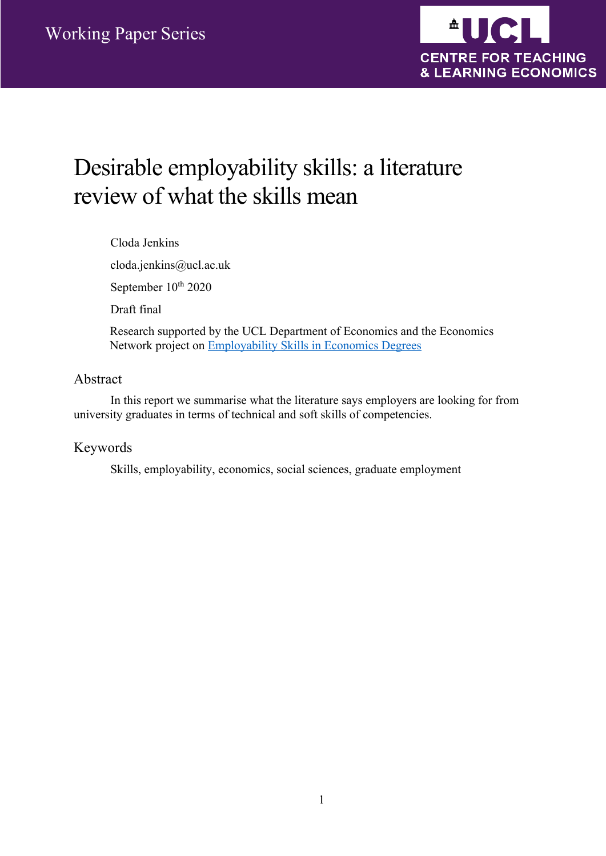

# Desirable employability skills: a literature review of what the skills mean

Cloda Jenkins cloda.jenkins@ucl.ac.uk September 10<sup>th</sup> 2020 Draft final Research supported by the UCL Department of Economics and the Economics Network project on Employability Skills in Economics Degrees

#### Abstract

In this report we summarise what the literature says employers are looking for from university graduates in terms of technical and soft skills of competencies.

#### Keywords

Skills, employability, economics, social sciences, graduate employment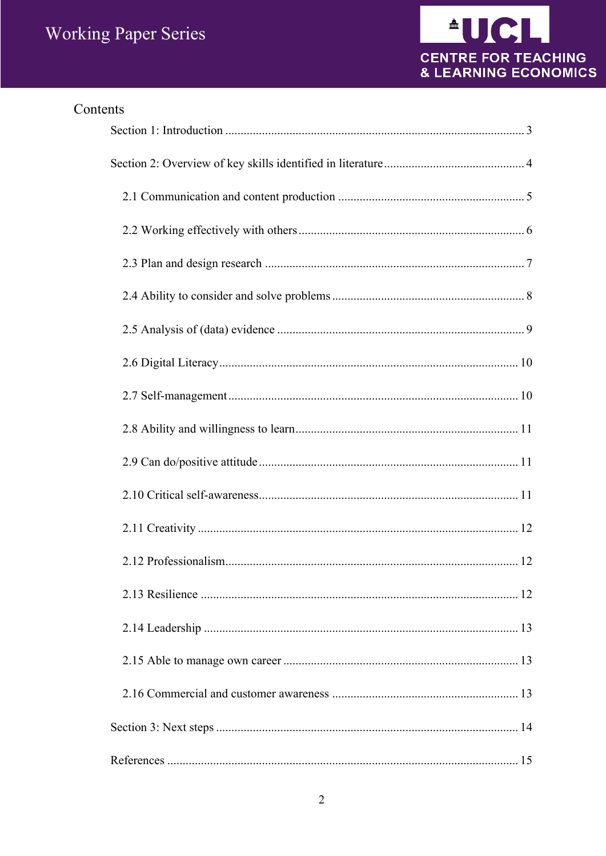

| Contents |
|----------|
|          |
|          |
|          |
|          |
|          |
|          |
|          |
|          |
|          |
|          |
|          |
|          |
|          |
|          |
|          |
|          |
|          |
|          |
|          |
|          |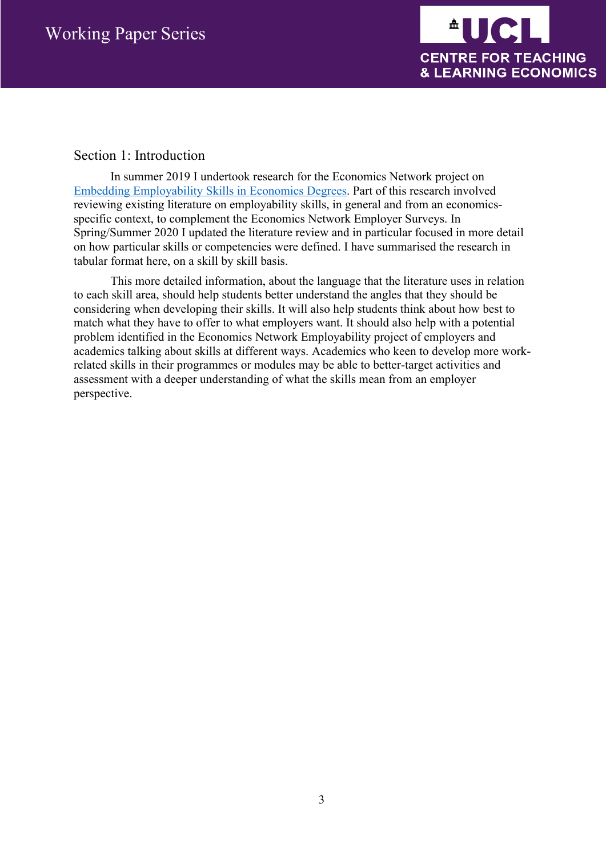

#### Section 1: Introduction

In summer 2019 I undertook research for the Economics Network project on Embedding Employability Skills in Economics Degrees. Part of this research involved reviewing existing literature on employability skills, in general and from an economicsspecific context, to complement the Economics Network Employer Surveys. In Spring/Summer 2020 I updated the literature review and in particular focused in more detail on how particular skills or competencies were defined. I have summarised the research in tabular format here, on a skill by skill basis.

This more detailed information, about the language that the literature uses in relation to each skill area, should help students better understand the angles that they should be considering when developing their skills. It will also help students think about how best to match what they have to offer to what employers want. It should also help with a potential problem identified in the Economics Network Employability project of employers and academics talking about skills at different ways. Academics who keen to develop more workrelated skills in their programmes or modules may be able to better-target activities and assessment with a deeper understanding of what the skills mean from an employer perspective.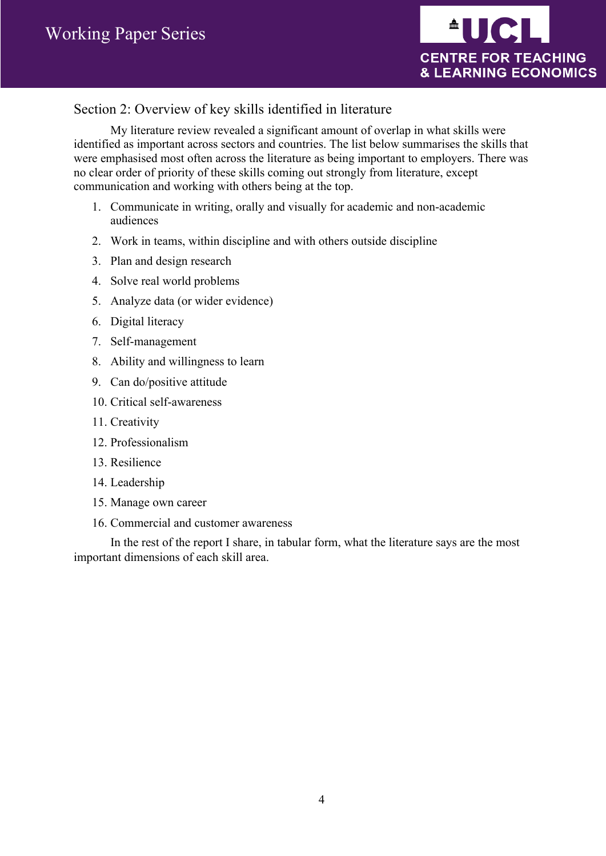

### Section 2: Overview of key skills identified in literature

My literature review revealed a significant amount of overlap in what skills were identified as important across sectors and countries. The list below summarises the skills that were emphasised most often across the literature as being important to employers. There was no clear order of priority of these skills coming out strongly from literature, except communication and working with others being at the top.

- 1. Communicate in writing, orally and visually for academic and non-academic audiences
- 2. Work in teams, within discipline and with others outside discipline
- 3. Plan and design research
- 4. Solve real world problems
- 5. Analyze data (or wider evidence)
- 6. Digital literacy
- 7. Self-management
- 8. Ability and willingness to learn
- 9. Can do/positive attitude
- 10. Critical self-awareness
- 11. Creativity
- 12. Professionalism
- 13. Resilience
- 14. Leadership
- 15. Manage own career
- 16. Commercial and customer awareness

In the rest of the report I share, in tabular form, what the literature says are the most important dimensions of each skill area.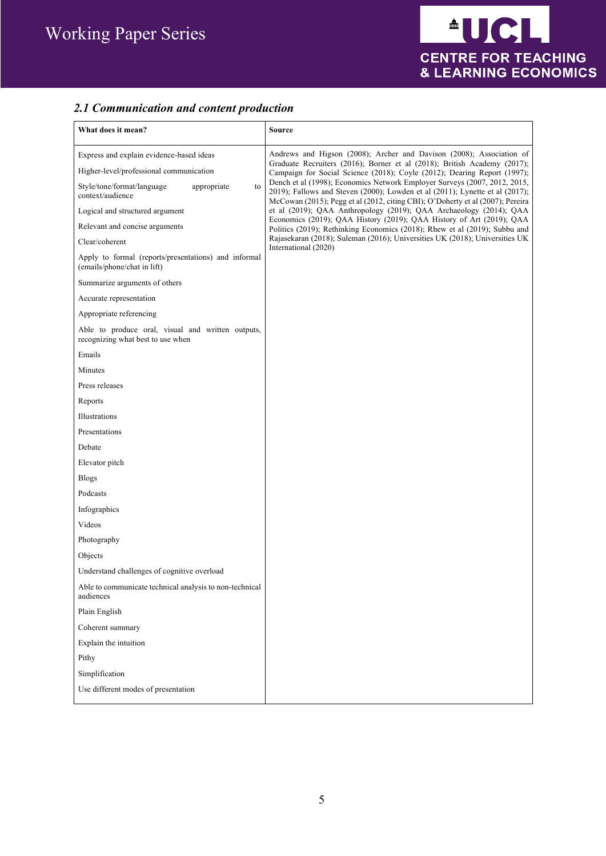## *2.1 Communication and content production*

| What does it mean?                                                                                                                                                                                                                                                                                                                                                                                   | Source                                                                                                                                                                                                                                                                                                                                                                                                                                                                                                                                                                                                                                                                                                                                                                                                            |
|------------------------------------------------------------------------------------------------------------------------------------------------------------------------------------------------------------------------------------------------------------------------------------------------------------------------------------------------------------------------------------------------------|-------------------------------------------------------------------------------------------------------------------------------------------------------------------------------------------------------------------------------------------------------------------------------------------------------------------------------------------------------------------------------------------------------------------------------------------------------------------------------------------------------------------------------------------------------------------------------------------------------------------------------------------------------------------------------------------------------------------------------------------------------------------------------------------------------------------|
| Express and explain evidence-based ideas<br>Higher-level/professional communication<br>Style/tone/format/language<br>appropriate<br>to<br>context/audience<br>Logical and structured argument<br>Relevant and concise arguments<br>Clear/coherent<br>Apply to formal (reports/presentations) and informal<br>(emails/phone/chat in lift)<br>Summarize arguments of others<br>Accurate representation | Andrews and Higson (2008); Archer and Davison (2008); Association of<br>Graduate Recruiters (2016); Borner et al (2018); British Academy (2017);<br>Campaign for Social Science (2018); Coyle (2012); Dearing Report (1997);<br>Dench et al (1998); Economics Network Employer Surveys (2007, 2012, 2015,<br>$2019$ ); Fallows and Steven (2000); Lowden et al (2011); Lynette et al (2017);<br>McCowan (2015); Pegg et al (2012, citing CBI); O'Doherty et al (2007); Pereira<br>et al (2019); QAA Anthropology (2019); QAA Archaeology (2014); QAA<br>Economics (2019); QAA History (2019); QAA History of Art (2019); QAA<br>Politics (2019); Rethinking Economics (2018); Rhew et al (2019); Subbu and<br>Rajasekaran (2018); Suleman (2016); Universities UK (2018); Universities UK<br>International (2020) |
| Appropriate referencing                                                                                                                                                                                                                                                                                                                                                                              |                                                                                                                                                                                                                                                                                                                                                                                                                                                                                                                                                                                                                                                                                                                                                                                                                   |
| Able to produce oral, visual and written outputs,<br>recognizing what best to use when                                                                                                                                                                                                                                                                                                               |                                                                                                                                                                                                                                                                                                                                                                                                                                                                                                                                                                                                                                                                                                                                                                                                                   |
| Emails                                                                                                                                                                                                                                                                                                                                                                                               |                                                                                                                                                                                                                                                                                                                                                                                                                                                                                                                                                                                                                                                                                                                                                                                                                   |
| Minutes                                                                                                                                                                                                                                                                                                                                                                                              |                                                                                                                                                                                                                                                                                                                                                                                                                                                                                                                                                                                                                                                                                                                                                                                                                   |
| Press releases                                                                                                                                                                                                                                                                                                                                                                                       |                                                                                                                                                                                                                                                                                                                                                                                                                                                                                                                                                                                                                                                                                                                                                                                                                   |
| Reports                                                                                                                                                                                                                                                                                                                                                                                              |                                                                                                                                                                                                                                                                                                                                                                                                                                                                                                                                                                                                                                                                                                                                                                                                                   |
| Illustrations                                                                                                                                                                                                                                                                                                                                                                                        |                                                                                                                                                                                                                                                                                                                                                                                                                                                                                                                                                                                                                                                                                                                                                                                                                   |
| Presentations                                                                                                                                                                                                                                                                                                                                                                                        |                                                                                                                                                                                                                                                                                                                                                                                                                                                                                                                                                                                                                                                                                                                                                                                                                   |
| Debate                                                                                                                                                                                                                                                                                                                                                                                               |                                                                                                                                                                                                                                                                                                                                                                                                                                                                                                                                                                                                                                                                                                                                                                                                                   |
| Elevator pitch                                                                                                                                                                                                                                                                                                                                                                                       |                                                                                                                                                                                                                                                                                                                                                                                                                                                                                                                                                                                                                                                                                                                                                                                                                   |
| <b>Blogs</b>                                                                                                                                                                                                                                                                                                                                                                                         |                                                                                                                                                                                                                                                                                                                                                                                                                                                                                                                                                                                                                                                                                                                                                                                                                   |
| Podcasts                                                                                                                                                                                                                                                                                                                                                                                             |                                                                                                                                                                                                                                                                                                                                                                                                                                                                                                                                                                                                                                                                                                                                                                                                                   |
| Infographics                                                                                                                                                                                                                                                                                                                                                                                         |                                                                                                                                                                                                                                                                                                                                                                                                                                                                                                                                                                                                                                                                                                                                                                                                                   |
| Videos                                                                                                                                                                                                                                                                                                                                                                                               |                                                                                                                                                                                                                                                                                                                                                                                                                                                                                                                                                                                                                                                                                                                                                                                                                   |
| Photography                                                                                                                                                                                                                                                                                                                                                                                          |                                                                                                                                                                                                                                                                                                                                                                                                                                                                                                                                                                                                                                                                                                                                                                                                                   |
| Objects                                                                                                                                                                                                                                                                                                                                                                                              |                                                                                                                                                                                                                                                                                                                                                                                                                                                                                                                                                                                                                                                                                                                                                                                                                   |
| Understand challenges of cognitive overload                                                                                                                                                                                                                                                                                                                                                          |                                                                                                                                                                                                                                                                                                                                                                                                                                                                                                                                                                                                                                                                                                                                                                                                                   |
| Able to communicate technical analysis to non-technical<br>audiences                                                                                                                                                                                                                                                                                                                                 |                                                                                                                                                                                                                                                                                                                                                                                                                                                                                                                                                                                                                                                                                                                                                                                                                   |
| Plain English                                                                                                                                                                                                                                                                                                                                                                                        |                                                                                                                                                                                                                                                                                                                                                                                                                                                                                                                                                                                                                                                                                                                                                                                                                   |
| Coherent summary                                                                                                                                                                                                                                                                                                                                                                                     |                                                                                                                                                                                                                                                                                                                                                                                                                                                                                                                                                                                                                                                                                                                                                                                                                   |
| Explain the intuition                                                                                                                                                                                                                                                                                                                                                                                |                                                                                                                                                                                                                                                                                                                                                                                                                                                                                                                                                                                                                                                                                                                                                                                                                   |
| Pithy                                                                                                                                                                                                                                                                                                                                                                                                |                                                                                                                                                                                                                                                                                                                                                                                                                                                                                                                                                                                                                                                                                                                                                                                                                   |
| Simplification                                                                                                                                                                                                                                                                                                                                                                                       |                                                                                                                                                                                                                                                                                                                                                                                                                                                                                                                                                                                                                                                                                                                                                                                                                   |
| Use different modes of presentation                                                                                                                                                                                                                                                                                                                                                                  |                                                                                                                                                                                                                                                                                                                                                                                                                                                                                                                                                                                                                                                                                                                                                                                                                   |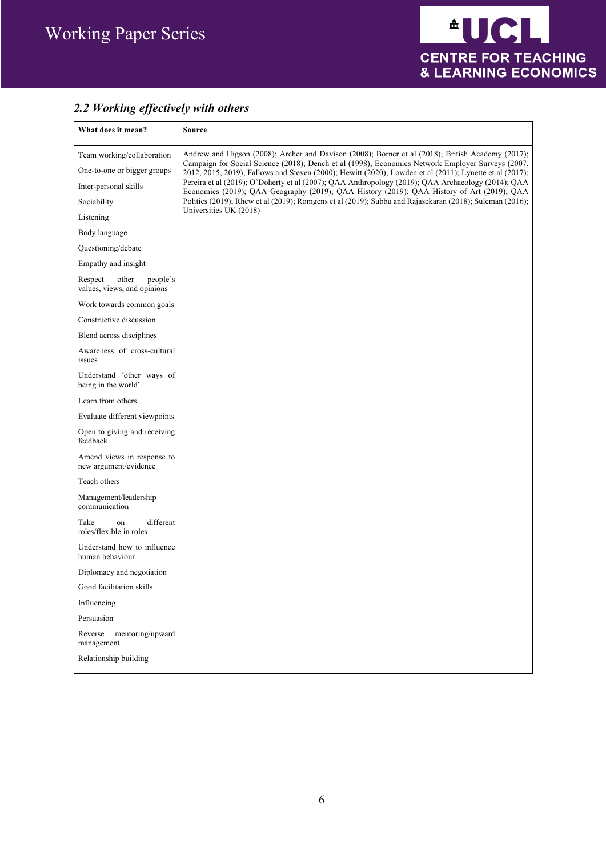

## *2.2 Working effectively with others*

| What does it mean?                                          | <b>Source</b>                                                                                                                                                                                                |
|-------------------------------------------------------------|--------------------------------------------------------------------------------------------------------------------------------------------------------------------------------------------------------------|
| Team working/collaboration                                  | Andrew and Higson (2008); Archer and Davison (2008); Borner et al (2018); British Academy (2017);                                                                                                            |
| One-to-one or bigger groups                                 | Campaign for Social Science (2018); Dench et al (1998); Economics Network Employer Surveys (2007,<br>2012, 2015, 2019); Fallows and Steven (2000); Hewitt (2020); Lowden et al (2011); Lynette et al (2017); |
| Inter-personal skills                                       | Pereira et al (2019); O'Doherty et al (2007); QAA Anthropology (2019); QAA Archaeology (2014); QAA<br>Economics (2019); QAA Geography (2019); QAA History (2019); QAA History of Art (2019); QAA             |
| Sociability                                                 | Politics (2019); Rhew et al (2019); Romgens et al (2019); Subbu and Rajasekaran (2018); Suleman (2016);                                                                                                      |
| Listening                                                   | Universities UK (2018)                                                                                                                                                                                       |
| Body language                                               |                                                                                                                                                                                                              |
| Questioning/debate                                          |                                                                                                                                                                                                              |
| Empathy and insight                                         |                                                                                                                                                                                                              |
| Respect<br>other<br>people's<br>values, views, and opinions |                                                                                                                                                                                                              |
| Work towards common goals                                   |                                                                                                                                                                                                              |
| Constructive discussion                                     |                                                                                                                                                                                                              |
| Blend across disciplines                                    |                                                                                                                                                                                                              |
| Awareness of cross-cultural<br>issues                       |                                                                                                                                                                                                              |
| Understand 'other ways of<br>being in the world'            |                                                                                                                                                                                                              |
| Learn from others                                           |                                                                                                                                                                                                              |
| Evaluate different viewpoints                               |                                                                                                                                                                                                              |
| Open to giving and receiving<br>feedback                    |                                                                                                                                                                                                              |
| Amend views in response to<br>new argument/evidence         |                                                                                                                                                                                                              |
| Teach others                                                |                                                                                                                                                                                                              |
| Management/leadership<br>communication                      |                                                                                                                                                                                                              |
| different<br>Take<br>on<br>roles/flexible in roles          |                                                                                                                                                                                                              |
| Understand how to influence<br>human behaviour              |                                                                                                                                                                                                              |
| Diplomacy and negotiation                                   |                                                                                                                                                                                                              |
| Good facilitation skills                                    |                                                                                                                                                                                                              |
| Influencing                                                 |                                                                                                                                                                                                              |
| Persuasion                                                  |                                                                                                                                                                                                              |
| mentoring/upward<br>Reverse<br>management                   |                                                                                                                                                                                                              |
| Relationship building                                       |                                                                                                                                                                                                              |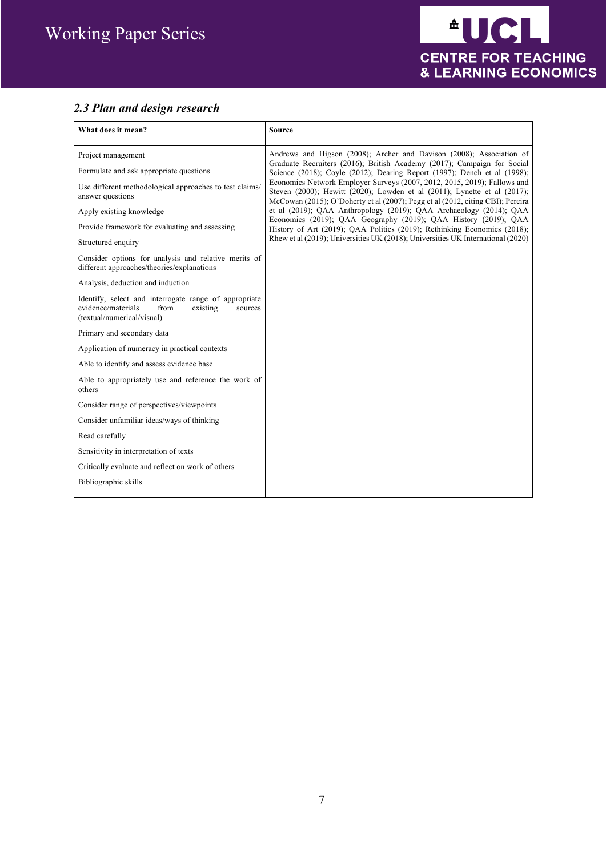## *2.3 Plan and design research*

| What does it mean?                                                                                                                       | <b>Source</b>                                                                                                                                                                                                                          |
|------------------------------------------------------------------------------------------------------------------------------------------|----------------------------------------------------------------------------------------------------------------------------------------------------------------------------------------------------------------------------------------|
| Project management                                                                                                                       | Andrews and Higson (2008); Archer and Davison (2008); Association of<br>Graduate Recruiters (2016); British Academy (2017); Campaign for Social                                                                                        |
| Formulate and ask appropriate questions                                                                                                  | Science (2018); Coyle (2012); Dearing Report (1997); Dench et al (1998);                                                                                                                                                               |
| Use different methodological approaches to test claims/<br>answer questions                                                              | Economics Network Employer Surveys (2007, 2012, 2015, 2019); Fallows and<br>Steven (2000); Hewitt (2020); Lowden et al (2011); Lynette et al (2017);<br>McCowan (2015); O'Doherty et al (2007); Pegg et al (2012, citing CBI); Pereira |
| Apply existing knowledge                                                                                                                 | et al (2019); QAA Anthropology (2019); QAA Archaeology (2014); QAA                                                                                                                                                                     |
| Provide framework for evaluating and assessing                                                                                           | Economics (2019); QAA Geography (2019); QAA History (2019); QAA<br>History of Art (2019); QAA Politics (2019); Rethinking Economics (2018);                                                                                            |
| Structured enquiry                                                                                                                       | Rhew et al (2019); Universities UK (2018); Universities UK International (2020)                                                                                                                                                        |
| Consider options for analysis and relative merits of<br>different approaches/theories/explanations                                       |                                                                                                                                                                                                                                        |
| Analysis, deduction and induction                                                                                                        |                                                                                                                                                                                                                                        |
| Identify, select and interrogate range of appropriate<br>evidence/materials<br>from<br>existing<br>sources<br>(textual/numerical/visual) |                                                                                                                                                                                                                                        |
| Primary and secondary data                                                                                                               |                                                                                                                                                                                                                                        |
| Application of numeracy in practical contexts                                                                                            |                                                                                                                                                                                                                                        |
| Able to identify and assess evidence base                                                                                                |                                                                                                                                                                                                                                        |
| Able to appropriately use and reference the work of<br>others                                                                            |                                                                                                                                                                                                                                        |
| Consider range of perspectives/viewpoints                                                                                                |                                                                                                                                                                                                                                        |
| Consider unfamiliar ideas/ways of thinking                                                                                               |                                                                                                                                                                                                                                        |
| Read carefully                                                                                                                           |                                                                                                                                                                                                                                        |
| Sensitivity in interpretation of texts                                                                                                   |                                                                                                                                                                                                                                        |
| Critically evaluate and reflect on work of others                                                                                        |                                                                                                                                                                                                                                        |
| Bibliographic skills                                                                                                                     |                                                                                                                                                                                                                                        |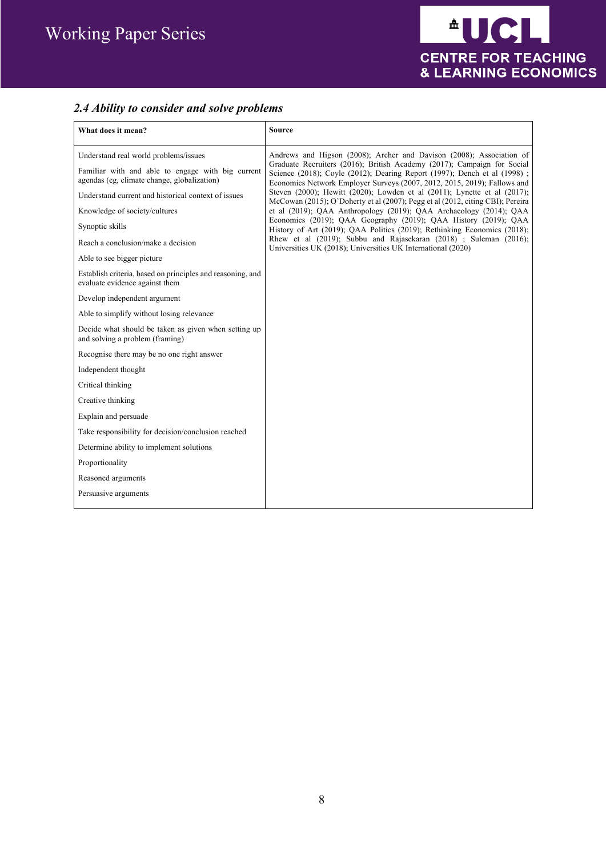## *2.4 Ability to consider and solve problems*

| What does it mean?                                                                                                                                                                                                                                                                                                                                                                                                       | <b>Source</b>                                                                                                                                                                                                                                                                                                                                                                                                                                                                                                                                                                                                                                                                                                                                                                                                                   |
|--------------------------------------------------------------------------------------------------------------------------------------------------------------------------------------------------------------------------------------------------------------------------------------------------------------------------------------------------------------------------------------------------------------------------|---------------------------------------------------------------------------------------------------------------------------------------------------------------------------------------------------------------------------------------------------------------------------------------------------------------------------------------------------------------------------------------------------------------------------------------------------------------------------------------------------------------------------------------------------------------------------------------------------------------------------------------------------------------------------------------------------------------------------------------------------------------------------------------------------------------------------------|
| Understand real world problems/issues<br>Familiar with and able to engage with big current<br>agendas (eg, climate change, globalization)<br>Understand current and historical context of issues<br>Knowledge of society/cultures<br>Synoptic skills<br>Reach a conclusion/make a decision<br>Able to see bigger picture<br>Establish criteria, based on principles and reasoning, and<br>evaluate evidence against them | Andrews and Higson (2008); Archer and Davison (2008); Association of<br>Graduate Recruiters (2016); British Academy (2017); Campaign for Social<br>Science (2018); Coyle (2012); Dearing Report (1997); Dench et al (1998);<br>Economics Network Employer Surveys (2007, 2012, 2015, 2019); Fallows and<br>Steven (2000); Hewitt (2020); Lowden et al (2011); Lynette et al (2017);<br>McCowan (2015); O'Doherty et al (2007); Pegg et al (2012, citing CBI); Pereira<br>et al (2019); QAA Anthropology (2019); QAA Archaeology (2014); QAA<br>Economics (2019); QAA Geography (2019); QAA History (2019); QAA<br>History of Art (2019); QAA Politics (2019); Rethinking Economics (2018);<br>Rhew et al (2019); Subbu and Rajasekaran (2018) ; Suleman (2016);<br>Universities UK (2018); Universities UK International (2020) |
| Develop independent argument                                                                                                                                                                                                                                                                                                                                                                                             |                                                                                                                                                                                                                                                                                                                                                                                                                                                                                                                                                                                                                                                                                                                                                                                                                                 |
| Able to simplify without losing relevance                                                                                                                                                                                                                                                                                                                                                                                |                                                                                                                                                                                                                                                                                                                                                                                                                                                                                                                                                                                                                                                                                                                                                                                                                                 |
| Decide what should be taken as given when setting up<br>and solving a problem (framing)                                                                                                                                                                                                                                                                                                                                  |                                                                                                                                                                                                                                                                                                                                                                                                                                                                                                                                                                                                                                                                                                                                                                                                                                 |
| Recognise there may be no one right answer                                                                                                                                                                                                                                                                                                                                                                               |                                                                                                                                                                                                                                                                                                                                                                                                                                                                                                                                                                                                                                                                                                                                                                                                                                 |
| Independent thought                                                                                                                                                                                                                                                                                                                                                                                                      |                                                                                                                                                                                                                                                                                                                                                                                                                                                                                                                                                                                                                                                                                                                                                                                                                                 |
| Critical thinking                                                                                                                                                                                                                                                                                                                                                                                                        |                                                                                                                                                                                                                                                                                                                                                                                                                                                                                                                                                                                                                                                                                                                                                                                                                                 |
| Creative thinking                                                                                                                                                                                                                                                                                                                                                                                                        |                                                                                                                                                                                                                                                                                                                                                                                                                                                                                                                                                                                                                                                                                                                                                                                                                                 |
| Explain and persuade                                                                                                                                                                                                                                                                                                                                                                                                     |                                                                                                                                                                                                                                                                                                                                                                                                                                                                                                                                                                                                                                                                                                                                                                                                                                 |
| Take responsibility for decision/conclusion reached                                                                                                                                                                                                                                                                                                                                                                      |                                                                                                                                                                                                                                                                                                                                                                                                                                                                                                                                                                                                                                                                                                                                                                                                                                 |
| Determine ability to implement solutions                                                                                                                                                                                                                                                                                                                                                                                 |                                                                                                                                                                                                                                                                                                                                                                                                                                                                                                                                                                                                                                                                                                                                                                                                                                 |
| Proportionality                                                                                                                                                                                                                                                                                                                                                                                                          |                                                                                                                                                                                                                                                                                                                                                                                                                                                                                                                                                                                                                                                                                                                                                                                                                                 |
| Reasoned arguments                                                                                                                                                                                                                                                                                                                                                                                                       |                                                                                                                                                                                                                                                                                                                                                                                                                                                                                                                                                                                                                                                                                                                                                                                                                                 |
| Persuasive arguments                                                                                                                                                                                                                                                                                                                                                                                                     |                                                                                                                                                                                                                                                                                                                                                                                                                                                                                                                                                                                                                                                                                                                                                                                                                                 |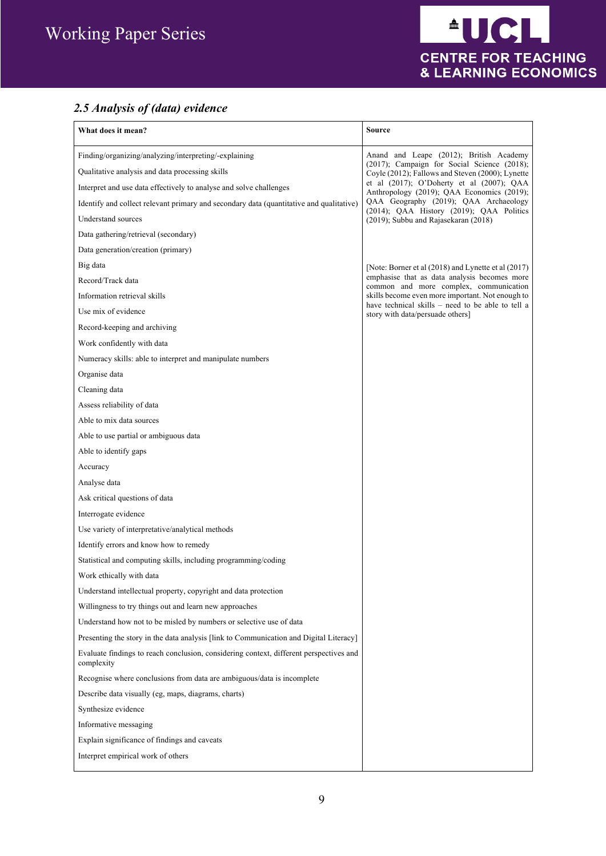

## *2.5 Analysis of (data) evidence*

| What does it mean?                                                                                       | <b>Source</b>                                                                                                                              |
|----------------------------------------------------------------------------------------------------------|--------------------------------------------------------------------------------------------------------------------------------------------|
| Finding/organizing/analyzing/interpreting/-explaining<br>Qualitative analysis and data processing skills | Anand and Leape (2012); British Academy<br>(2017); Campaign for Social Science (2018);<br>Coyle (2012); Fallows and Steven (2000); Lynette |
| Interpret and use data effectively to analyse and solve challenges                                       | et al (2017); O'Doherty et al (2007); QAA                                                                                                  |
| Identify and collect relevant primary and secondary data (quantitative and qualitative)                  | Anthropology (2019); QAA Economics (2019);<br>QAA Geography (2019); QAA Archaeology                                                        |
| Understand sources                                                                                       | (2014); QAA History (2019); QAA Politics<br>(2019); Subbu and Rajasekaran (2018)                                                           |
| Data gathering/retrieval (secondary)                                                                     |                                                                                                                                            |
| Data generation/creation (primary)                                                                       |                                                                                                                                            |
| Big data                                                                                                 | [Note: Borner et al (2018) and Lynette et al (2017)                                                                                        |
| Record/Track data                                                                                        | emphasise that as data analysis becomes more                                                                                               |
| Information retrieval skills                                                                             | common and more complex, communication<br>skills become even more important. Not enough to                                                 |
| Use mix of evidence                                                                                      | have technical skills – need to be able to tell a<br>story with data/persuade others]                                                      |
| Record-keeping and archiving                                                                             |                                                                                                                                            |
| Work confidently with data                                                                               |                                                                                                                                            |
| Numeracy skills: able to interpret and manipulate numbers                                                |                                                                                                                                            |
| Organise data                                                                                            |                                                                                                                                            |
| Cleaning data                                                                                            |                                                                                                                                            |
| Assess reliability of data                                                                               |                                                                                                                                            |
| Able to mix data sources                                                                                 |                                                                                                                                            |
| Able to use partial or ambiguous data                                                                    |                                                                                                                                            |
| Able to identify gaps                                                                                    |                                                                                                                                            |
| Accuracy                                                                                                 |                                                                                                                                            |
| Analyse data                                                                                             |                                                                                                                                            |
| Ask critical questions of data                                                                           |                                                                                                                                            |
| Interrogate evidence                                                                                     |                                                                                                                                            |
| Use variety of interpretative/analytical methods                                                         |                                                                                                                                            |
| Identify errors and know how to remedy                                                                   |                                                                                                                                            |
| Statistical and computing skills, including programming/coding                                           |                                                                                                                                            |
| Work ethically with data                                                                                 |                                                                                                                                            |
| Understand intellectual property, copyright and data protection                                          |                                                                                                                                            |
| Willingness to try things out and learn new approaches                                                   |                                                                                                                                            |
| Understand how not to be misled by numbers or selective use of data                                      |                                                                                                                                            |
| Presenting the story in the data analysis [link to Communication and Digital Literacy]                   |                                                                                                                                            |
| Evaluate findings to reach conclusion, considering context, different perspectives and<br>complexity     |                                                                                                                                            |
| Recognise where conclusions from data are ambiguous/data is incomplete                                   |                                                                                                                                            |
| Describe data visually (eg, maps, diagrams, charts)                                                      |                                                                                                                                            |
| Synthesize evidence                                                                                      |                                                                                                                                            |
| Informative messaging                                                                                    |                                                                                                                                            |
| Explain significance of findings and caveats                                                             |                                                                                                                                            |
| Interpret empirical work of others                                                                       |                                                                                                                                            |
|                                                                                                          |                                                                                                                                            |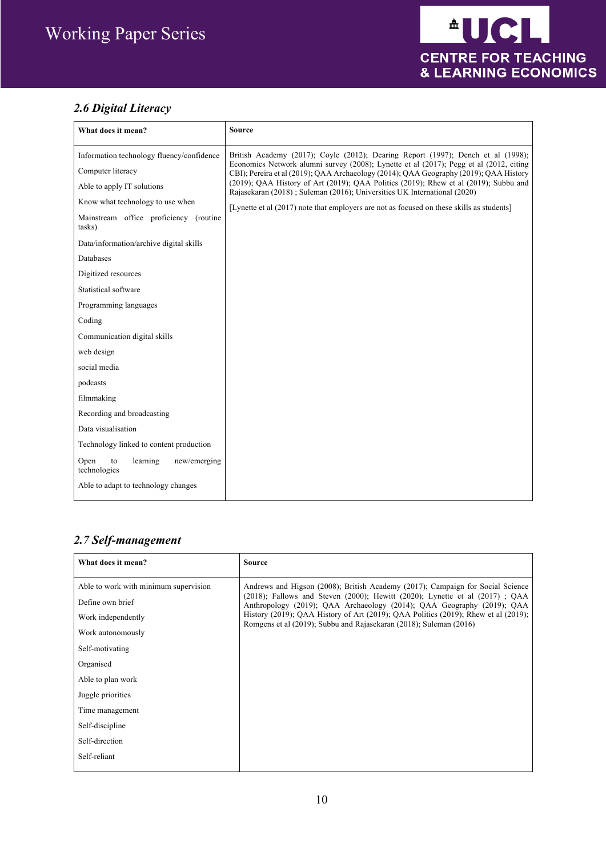## *2.6 Digital Literacy*

| What does it mean?                                                                                                                                                                                                                           | <b>Source</b>                                                                                                                                                                                                                                                                                                                                                                                                                                                                                                                                    |
|----------------------------------------------------------------------------------------------------------------------------------------------------------------------------------------------------------------------------------------------|--------------------------------------------------------------------------------------------------------------------------------------------------------------------------------------------------------------------------------------------------------------------------------------------------------------------------------------------------------------------------------------------------------------------------------------------------------------------------------------------------------------------------------------------------|
| Information technology fluency/confidence<br>Computer literacy<br>Able to apply IT solutions<br>Know what technology to use when<br>Mainstream office proficiency (routine<br>tasks)<br>Data/information/archive digital skills<br>Databases | British Academy (2017); Coyle (2012); Dearing Report (1997); Dench et al (1998);<br>Economics Network alumni survey (2008); Lynette et al (2017); Pegg et al (2012, citing<br>CBI); Pereira et al (2019); QAA Archaeology (2014); QAA Geography (2019); QAA History<br>$(2019)$ ; QAA History of Art $(2019)$ ; QAA Politics $(2019)$ ; Rhew et al $(2019)$ ; Subbu and<br>Rajasekaran (2018); Suleman (2016); Universities UK International (2020)<br>[Lynette et al (2017) note that employers are not as focused on these skills as students] |
| Digitized resources<br>Statistical software                                                                                                                                                                                                  |                                                                                                                                                                                                                                                                                                                                                                                                                                                                                                                                                  |
| Programming languages<br>Coding                                                                                                                                                                                                              |                                                                                                                                                                                                                                                                                                                                                                                                                                                                                                                                                  |
| Communication digital skills<br>web design<br>social media                                                                                                                                                                                   |                                                                                                                                                                                                                                                                                                                                                                                                                                                                                                                                                  |
| podcasts<br>filmmaking                                                                                                                                                                                                                       |                                                                                                                                                                                                                                                                                                                                                                                                                                                                                                                                                  |
| Recording and broadcasting<br>Data visualisation                                                                                                                                                                                             |                                                                                                                                                                                                                                                                                                                                                                                                                                                                                                                                                  |
| Technology linked to content production<br>learning<br>Open<br>to<br>new/emerging<br>technologies                                                                                                                                            |                                                                                                                                                                                                                                                                                                                                                                                                                                                                                                                                                  |
| Able to adapt to technology changes                                                                                                                                                                                                          |                                                                                                                                                                                                                                                                                                                                                                                                                                                                                                                                                  |

#### *2.7 Self-management*

| What does it mean?                    | <b>Source</b>                                                                                                                                                     |
|---------------------------------------|-------------------------------------------------------------------------------------------------------------------------------------------------------------------|
| Able to work with minimum supervision | Andrews and Higson (2008); British Academy (2017); Campaign for Social Science                                                                                    |
| Define own brief                      | $(2018)$ ; Fallows and Steven $(2000)$ ; Hewitt $(2020)$ ; Lynette et al $(2017)$ ; QAA<br>Anthropology (2019); QAA Archaeology (2014); QAA Geography (2019); QAA |
| Work independently                    | History (2019); QAA History of Art (2019); QAA Politics (2019); Rhew et al (2019);<br>Romgens et al (2019); Subbu and Rajasekaran (2018); Suleman (2016)          |
| Work autonomously                     |                                                                                                                                                                   |
| Self-motivating                       |                                                                                                                                                                   |
| Organised                             |                                                                                                                                                                   |
| Able to plan work                     |                                                                                                                                                                   |
| Juggle priorities                     |                                                                                                                                                                   |
| Time management                       |                                                                                                                                                                   |
| Self-discipline                       |                                                                                                                                                                   |
| Self-direction                        |                                                                                                                                                                   |
| Self-reliant                          |                                                                                                                                                                   |
|                                       |                                                                                                                                                                   |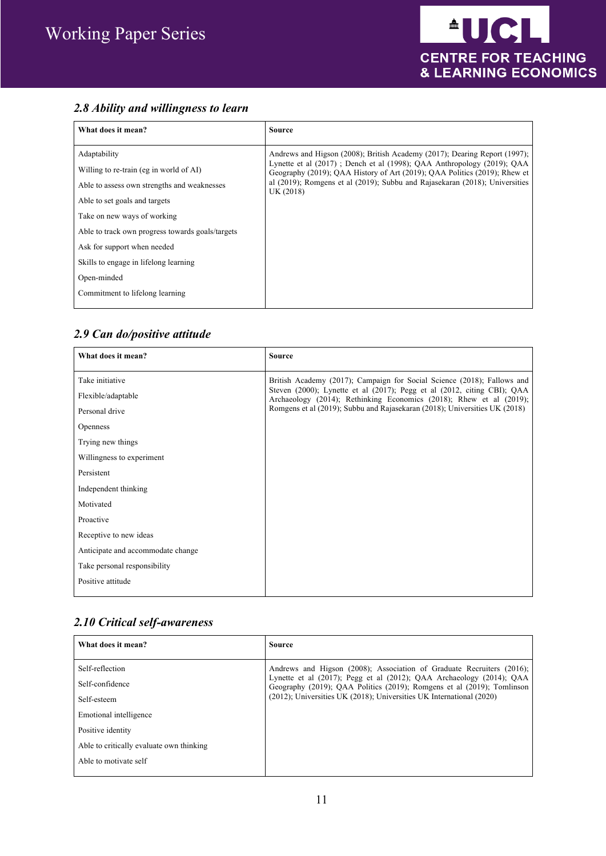#### *2.8 Ability and willingness to learn*

| What does it mean?                                                                                                                                                                                                                                                                                                                                   | <b>Source</b>                                                                                                                                                                                                                                                                                                                |
|------------------------------------------------------------------------------------------------------------------------------------------------------------------------------------------------------------------------------------------------------------------------------------------------------------------------------------------------------|------------------------------------------------------------------------------------------------------------------------------------------------------------------------------------------------------------------------------------------------------------------------------------------------------------------------------|
| Adaptability<br>Willing to re-train (eg in world of AI)<br>Able to assess own strengths and weaknesses<br>Able to set goals and targets<br>Take on new ways of working<br>Able to track own progress towards goals/targets<br>Ask for support when needed<br>Skills to engage in lifelong learning<br>Open-minded<br>Commitment to lifelong learning | Andrews and Higson (2008); British Academy (2017); Dearing Report (1997);<br>Lynette et al (2017); Dench et al (1998); OAA Anthropology (2019); OAA<br>Geography (2019); OAA History of Art (2019); OAA Politics (2019); Rhew et<br>al (2019); Romgens et al (2019); Subbu and Rajasekaran (2018); Universities<br>UK (2018) |

#### *2.9 Can do/positive attitude*

| What does it mean?                | <b>Source</b>                                                                                                                                  |
|-----------------------------------|------------------------------------------------------------------------------------------------------------------------------------------------|
| Take initiative                   | British Academy (2017); Campaign for Social Science (2018); Fallows and                                                                        |
| Flexible/adaptable                | Steven (2000); Lynette et al (2017); Pegg et al (2012, citing CBI); QAA<br>Archaeology (2014); Rethinking Economics (2018); Rhew et al (2019); |
| Personal drive                    | Romgens et al (2019); Subbu and Rajasekaran (2018); Universities UK (2018)                                                                     |
| <b>Openness</b>                   |                                                                                                                                                |
| Trying new things                 |                                                                                                                                                |
| Willingness to experiment         |                                                                                                                                                |
| Persistent                        |                                                                                                                                                |
| Independent thinking              |                                                                                                                                                |
| Motivated                         |                                                                                                                                                |
| Proactive                         |                                                                                                                                                |
| Receptive to new ideas            |                                                                                                                                                |
| Anticipate and accommodate change |                                                                                                                                                |
| Take personal responsibility      |                                                                                                                                                |
| Positive attitude                 |                                                                                                                                                |

#### *2.10 Critical self-awareness*

| What does it mean?                       | Source                                                                                                                                                  |
|------------------------------------------|---------------------------------------------------------------------------------------------------------------------------------------------------------|
| Self-reflection                          | Andrews and Higson (2008); Association of Graduate Recruiters (2016);                                                                                   |
| Self-confidence                          | Lynette et al $(2017)$ ; Pegg et al $(2012)$ ; QAA Archaeology $(2014)$ ; QAA<br>Geography (2019); QAA Politics (2019); Romgens et al (2019); Tomlinson |
| Self-esteem                              | (2012); Universities UK (2018); Universities UK International (2020)                                                                                    |
| Emotional intelligence                   |                                                                                                                                                         |
| Positive identity                        |                                                                                                                                                         |
| Able to critically evaluate own thinking |                                                                                                                                                         |
| Able to motivate self                    |                                                                                                                                                         |
|                                          |                                                                                                                                                         |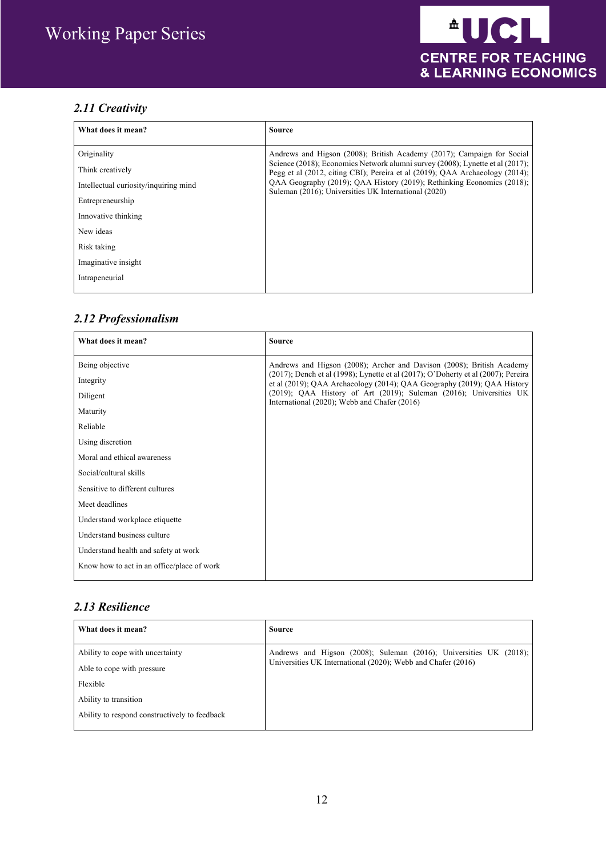## *2.11 Creativity*

| What does it mean?                                                                                                                                                                       | <b>Source</b>                                                                                                                                                                                                                                                                                                                                                             |
|------------------------------------------------------------------------------------------------------------------------------------------------------------------------------------------|---------------------------------------------------------------------------------------------------------------------------------------------------------------------------------------------------------------------------------------------------------------------------------------------------------------------------------------------------------------------------|
| Originality<br>Think creatively<br>Intellectual curiosity/inquiring mind<br>Entrepreneurship<br>Innovative thinking<br>New ideas<br>Risk taking<br>Imaginative insight<br>Intrapeneurial | Andrews and Higson (2008); British Academy (2017); Campaign for Social<br>Science (2018); Economics Network alumni survey (2008); Lynette et al (2017);<br>Pegg et al (2012, citing CBI); Pereira et al (2019); QAA Archaeology (2014);<br>QAA Geography (2019); QAA History (2019); Rethinking Economics (2018);<br>Suleman (2016); Universities UK International (2020) |

## *2.12 Professionalism*

| What does it mean?                         | <b>Source</b>                                                                                                                                                |
|--------------------------------------------|--------------------------------------------------------------------------------------------------------------------------------------------------------------|
| Being objective                            | Andrews and Higson (2008); Archer and Davison (2008); British Academy                                                                                        |
| Integrity                                  | (2017); Dench et al (1998); Lynette et al (2017); O'Doherty et al (2007); Pereira<br>et al (2019); QAA Archaeology (2014); QAA Geography (2019); QAA History |
| Diligent                                   | $(2019)$ ; QAA History of Art $(2019)$ ; Suleman $(2016)$ ; Universities UK<br>International (2020); Webb and Chafer (2016)                                  |
| Maturity                                   |                                                                                                                                                              |
| Reliable                                   |                                                                                                                                                              |
| Using discretion                           |                                                                                                                                                              |
| Moral and ethical awareness                |                                                                                                                                                              |
| Social/cultural skills                     |                                                                                                                                                              |
| Sensitive to different cultures            |                                                                                                                                                              |
| Meet deadlines                             |                                                                                                                                                              |
| Understand workplace etiquette             |                                                                                                                                                              |
| Understand business culture                |                                                                                                                                                              |
| Understand health and safety at work       |                                                                                                                                                              |
| Know how to act in an office/place of work |                                                                                                                                                              |

#### *2.13 Resilience*

| What does it mean?                            | Source                                                                                                                             |
|-----------------------------------------------|------------------------------------------------------------------------------------------------------------------------------------|
| Ability to cope with uncertainty              | Andrews and Higson (2008); Suleman (2016); Universities UK (2018);<br>Universities UK International (2020); Webb and Chafer (2016) |
| Able to cope with pressure                    |                                                                                                                                    |
| Flexible                                      |                                                                                                                                    |
| Ability to transition                         |                                                                                                                                    |
| Ability to respond constructively to feedback |                                                                                                                                    |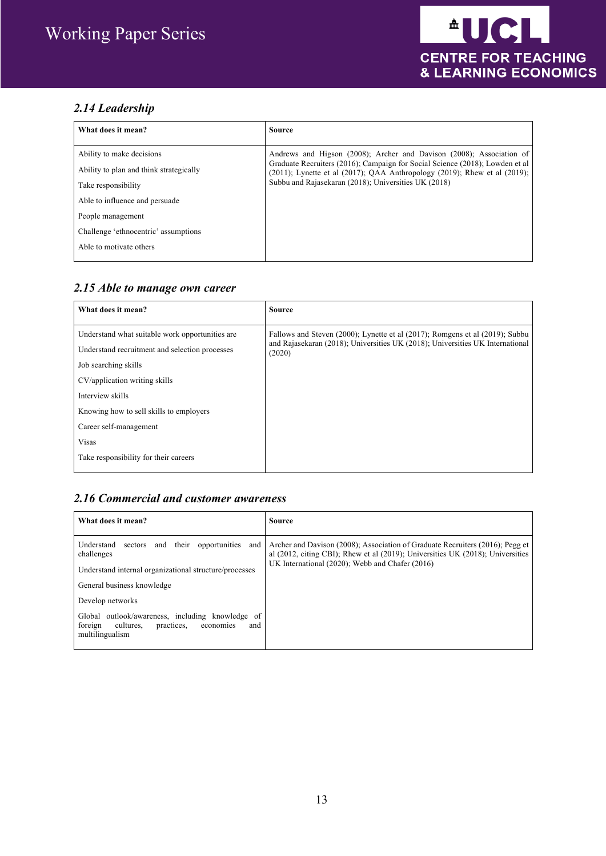#### *2.14 Leadership*

| What does it mean?                      | <b>Source</b>                                                                                                                                                                                                                 |
|-----------------------------------------|-------------------------------------------------------------------------------------------------------------------------------------------------------------------------------------------------------------------------------|
| Ability to make decisions               | Andrews and Higson (2008); Archer and Davison (2008); Association of                                                                                                                                                          |
| Ability to plan and think strategically | Graduate Recruiters (2016); Campaign for Social Science (2018); Lowden et al<br>$(2011)$ ; Lynette et al $(2017)$ ; QAA Anthropology $(2019)$ ; Rhew et al $(2019)$ ;<br>Subbu and Rajasekaran (2018); Universities UK (2018) |
| Take responsibility                     |                                                                                                                                                                                                                               |
| Able to influence and persuade          |                                                                                                                                                                                                                               |
| People management                       |                                                                                                                                                                                                                               |
| Challenge 'ethnocentric' assumptions    |                                                                                                                                                                                                                               |
| Able to motivate others                 |                                                                                                                                                                                                                               |
|                                         |                                                                                                                                                                                                                               |

#### *2.15 Able to manage own career*

| What does it mean?                              | Source                                                                                                                                                                  |
|-------------------------------------------------|-------------------------------------------------------------------------------------------------------------------------------------------------------------------------|
| Understand what suitable work opportunities are | Fallows and Steven (2000); Lynette et al (2017); Romgens et al (2019); Subbu<br>and Rajasekaran (2018); Universities UK (2018); Universities UK International<br>(2020) |
| Understand recruitment and selection processes  |                                                                                                                                                                         |
| Job searching skills                            |                                                                                                                                                                         |
| CV/application writing skills                   |                                                                                                                                                                         |
| Interview skills                                |                                                                                                                                                                         |
| Knowing how to sell skills to employers         |                                                                                                                                                                         |
| Career self-management                          |                                                                                                                                                                         |
| <b>Visas</b>                                    |                                                                                                                                                                         |
| Take responsibility for their careers           |                                                                                                                                                                         |
|                                                 |                                                                                                                                                                         |

#### *2.16 Commercial and customer awareness*

| What does it mean?                                                                                                                                               | Source                                                                                                                                                                                                                      |
|------------------------------------------------------------------------------------------------------------------------------------------------------------------|-----------------------------------------------------------------------------------------------------------------------------------------------------------------------------------------------------------------------------|
| Understand<br>opportunities<br>and their<br>and<br>sectors<br>challenges<br>Understand internal organizational structure/processes<br>General business knowledge | Archer and Davison (2008); Association of Graduate Recruiters (2016); Pegg et<br>al $(2012, citing CBI)$ ; Rhew et al $(2019)$ ; Universities UK $(2018)$ ; Universities<br>UK International (2020); Webb and Chafer (2016) |
| Develop networks<br>Global outlook/awareness, including knowledge of<br>foreign<br>practices,<br>cultures,<br>economies<br>and<br>multilingualism                |                                                                                                                                                                                                                             |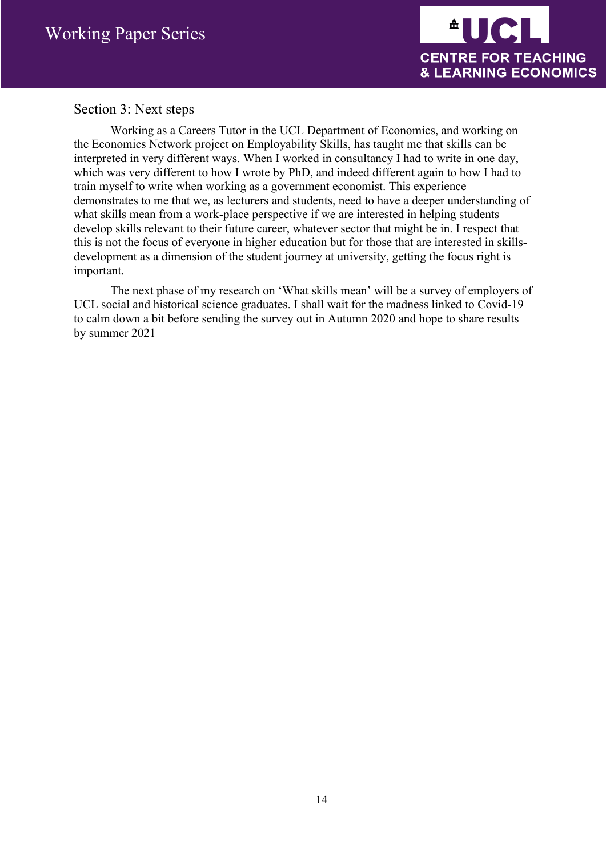

#### Section 3: Next steps

Working as a Careers Tutor in the UCL Department of Economics, and working on the Economics Network project on Employability Skills, has taught me that skills can be interpreted in very different ways. When I worked in consultancy I had to write in one day, which was very different to how I wrote by PhD, and indeed different again to how I had to train myself to write when working as a government economist. This experience demonstrates to me that we, as lecturers and students, need to have a deeper understanding of what skills mean from a work-place perspective if we are interested in helping students develop skills relevant to their future career, whatever sector that might be in. I respect that this is not the focus of everyone in higher education but for those that are interested in skillsdevelopment as a dimension of the student journey at university, getting the focus right is important.

The next phase of my research on 'What skills mean' will be a survey of employers of UCL social and historical science graduates. I shall wait for the madness linked to Covid-19 to calm down a bit before sending the survey out in Autumn 2020 and hope to share results by summer 2021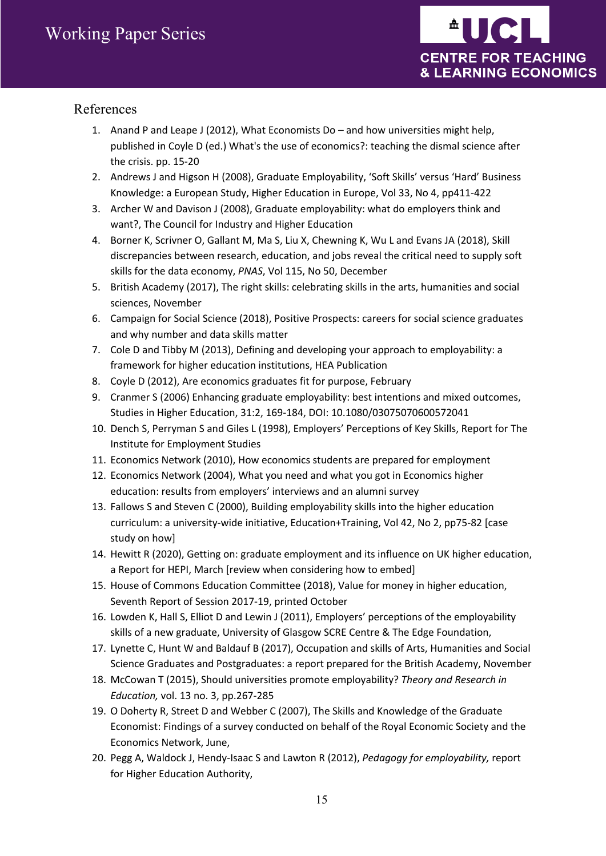

#### References

- 1. Anand P and Leape J (2012), What Economists Do and how universities might help, published in Coyle D (ed.) What's the use of economics?: teaching the dismal science after the crisis. pp. 15-20
- 2. Andrews J and Higson H (2008), Graduate Employability, 'Soft Skills' versus 'Hard' Business Knowledge: a European Study, Higher Education in Europe, Vol 33, No 4, pp411-422
- 3. Archer W and Davison J (2008), Graduate employability: what do employers think and want?, The Council for Industry and Higher Education
- 4. Borner K, Scrivner O, Gallant M, Ma S, Liu X, Chewning K, Wu L and Evans JA (2018), Skill discrepancies between research, education, and jobs reveal the critical need to supply soft skills for the data economy, *PNAS*, Vol 115, No 50, December
- 5. British Academy (2017), The right skills: celebrating skills in the arts, humanities and social sciences, November
- 6. Campaign for Social Science (2018), Positive Prospects: careers for social science graduates and why number and data skills matter
- 7. Cole D and Tibby M (2013), Defining and developing your approach to employability: a framework for higher education institutions, HEA Publication
- 8. Coyle D (2012), Are economics graduates fit for purpose, February
- 9. Cranmer S (2006) Enhancing graduate employability: best intentions and mixed outcomes, Studies in Higher Education, 31:2, 169-184, DOI: 10.1080/03075070600572041
- 10. Dench S, Perryman S and Giles L (1998), Employers' Perceptions of Key Skills, Report for The Institute for Employment Studies
- 11. Economics Network (2010), How economics students are prepared for employment
- 12. Economics Network (2004), What you need and what you got in Economics higher education: results from employers' interviews and an alumni survey
- 13. Fallows S and Steven C (2000), Building employability skills into the higher education curriculum: a university-wide initiative, Education+Training, Vol 42, No 2, pp75-82 [case study on how]
- 14. Hewitt R (2020), Getting on: graduate employment and its influence on UK higher education, a Report for HEPI, March [review when considering how to embed]
- 15. House of Commons Education Committee (2018), Value for money in higher education, Seventh Report of Session 2017-19, printed October
- 16. Lowden K, Hall S, Elliot D and Lewin J (2011), Employers' perceptions of the employability skills of a new graduate, University of Glasgow SCRE Centre & The Edge Foundation,
- 17. Lynette C, Hunt W and Baldauf B (2017), Occupation and skills of Arts, Humanities and Social Science Graduates and Postgraduates: a report prepared for the British Academy, November
- 18. McCowan T (2015), Should universities promote employability? *Theory and Research in Education,* vol. 13 no. 3, pp.267-285
- 19. O Doherty R, Street D and Webber C (2007), The Skills and Knowledge of the Graduate Economist: Findings of a survey conducted on behalf of the Royal Economic Society and the Economics Network, June,
- 20. Pegg A, Waldock J, Hendy-Isaac S and Lawton R (2012), *Pedagogy for employability,* report for Higher Education Authority,